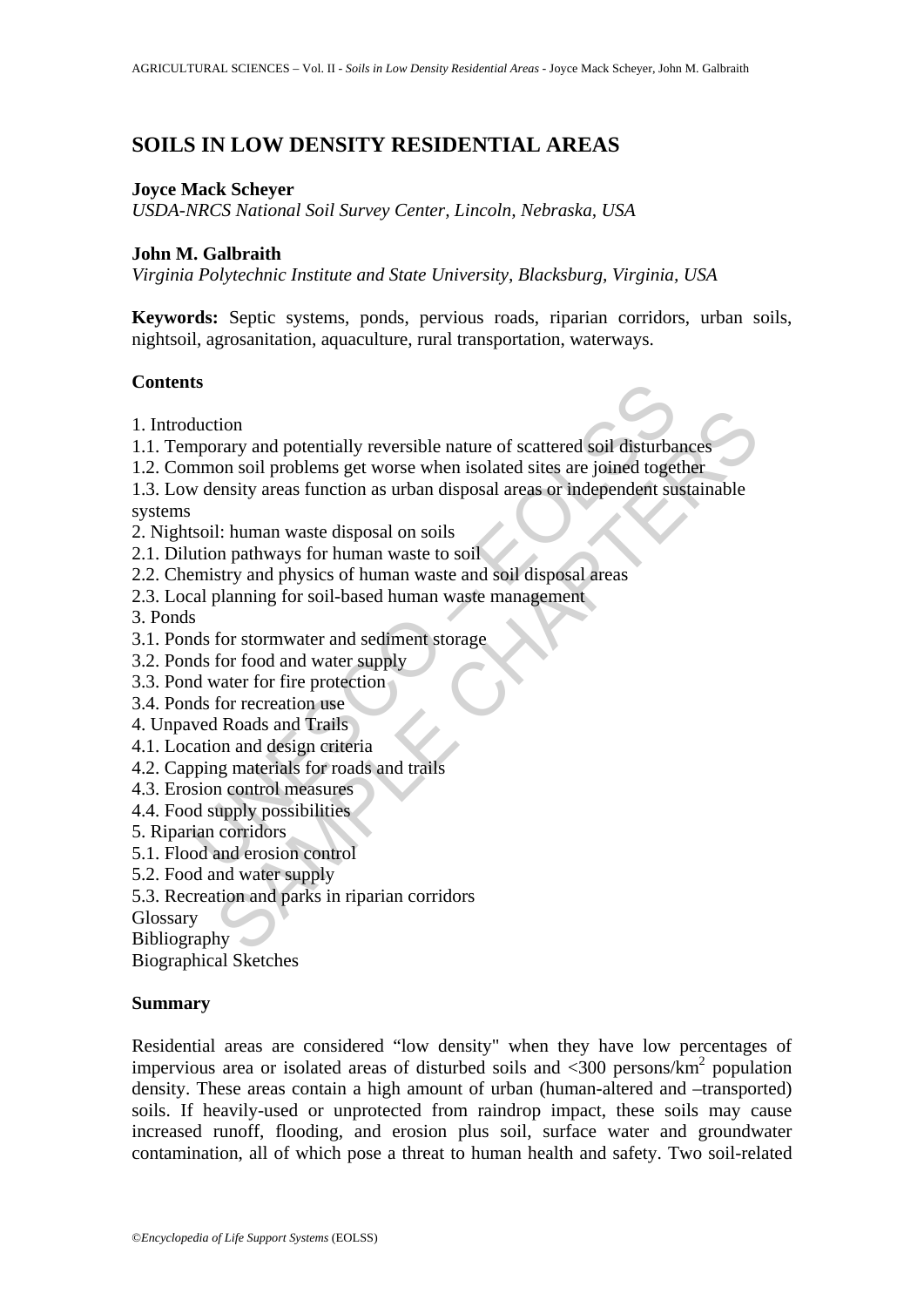# **SOILS IN LOW DENSITY RESIDENTIAL AREAS**

### **Joyce Mack Scheyer**

*USDA-NRCS National Soil Survey Center, Lincoln, Nebraska, USA*

### **John M. Galbraith**

*Virginia Polytechnic Institute and State University, Blacksburg, Virginia, USA* 

**Keywords:** Septic systems, ponds, pervious roads, riparian corridors, urban soils, nightsoil, agrosanitation, aquaculture, rural transportation, waterways.

### **Contents**

- 1. Introduction
- 1.1. Temporary and potentially reversible nature of scattered soil disturbances
- 1.2. Common soil problems get worse when isolated sites are joined together
- **ts**<br>
duction<br>
mporary and potentially reversible nature of scattered soil disturba<br>
mmon soil problems get worse when isolated sites are joined toget<br>
w density areas function as urban disposal areas or independent su<br>
ts tion<br>
orary and potentially reversible nature of scattered soil disturbances<br>
on soil problems get worse when isolated sites are joined together<br>
ensity areas function as urban disposal areas or independent sustainable<br>
1: 1.3. Low density areas function as urban disposal areas or independent sustainable systems
- 2. Nightsoil: human waste disposal on soils
- 2.1. Dilution pathways for human waste to soil
- 2.2. Chemistry and physics of human waste and soil disposal areas
- 2.3. Local planning for soil-based human waste management
- 3. Ponds
- 3.1. Ponds for stormwater and sediment storage
- 3.2. Ponds for food and water supply
- 3.3. Pond water for fire protection
- 3.4. Ponds for recreation use
- 4. Unpaved Roads and Trails
- 4.1. Location and design criteria
- 4.2. Capping materials for roads and trails
- 4.3. Erosion control measures
- 4.4. Food supply possibilities
- 5. Riparian corridors
- 5.1. Flood and erosion control
- 5.2. Food and water supply
- 5.3. Recreation and parks in riparian corridors

Glossary

**Bibliography** 

Biographical Sketches

### **Summary**

Residential areas are considered "low density" when they have low percentages of impervious area or isolated areas of disturbed soils and  $\langle 300 \text{ persons/km}^2$  population density. These areas contain a high amount of urban (human-altered and –transported) soils. If heavily-used or unprotected from raindrop impact, these soils may cause increased runoff, flooding, and erosion plus soil, surface water and groundwater contamination, all of which pose a threat to human health and safety. Two soil-related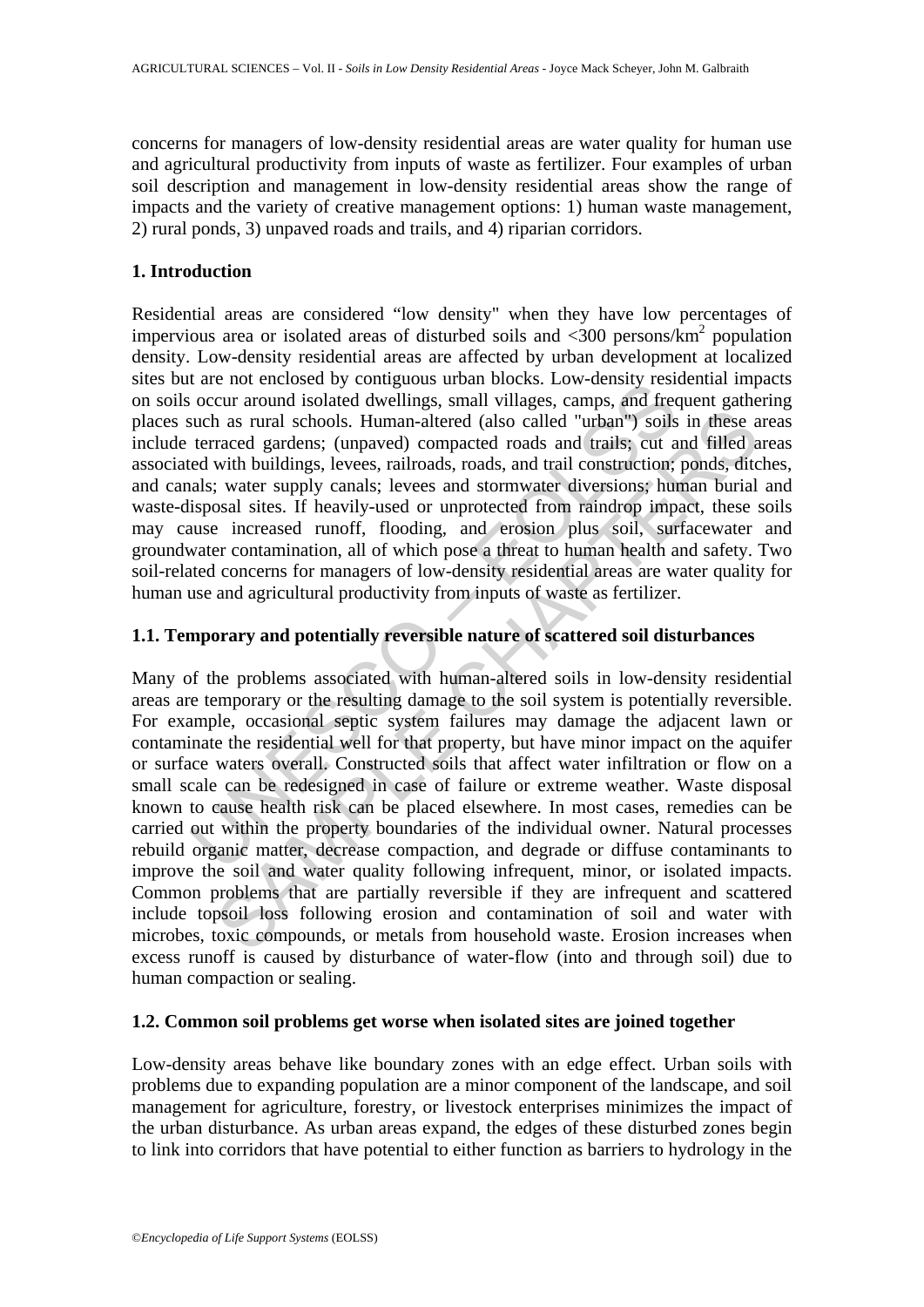concerns for managers of low-density residential areas are water quality for human use and agricultural productivity from inputs of waste as fertilizer. Four examples of urban soil description and management in low-density residential areas show the range of impacts and the variety of creative management options: 1) human waste management, 2) rural ponds, 3) unpaved roads and trails, and 4) riparian corridors.

### **1. Introduction**

are not encosed by comiguous unan oncess. Low-density rest<br>occur around isolated dwellings, small villages, camps, and free<br>uch as rural schools. Human-altered (also called "urban") soils<br>terraced gardens; (unpaved) compac Residential areas are considered "low density" when they have low percentages of impervious area or isolated areas of disturbed soils and  $\langle 300 \text{ persons/km}^2$  population density. Low-density residential areas are affected by urban development at localized sites but are not enclosed by contiguous urban blocks. Low-density residential impacts on soils occur around isolated dwellings, small villages, camps, and frequent gathering places such as rural schools. Human-altered (also called "urban") soils in these areas include terraced gardens; (unpaved) compacted roads and trails; cut and filled areas associated with buildings, levees, railroads, roads, and trail construction; ponds, ditches, and canals; water supply canals; levees and stormwater diversions; human burial and waste-disposal sites. If heavily-used or unprotected from raindrop impact, these soils may cause increased runoff, flooding, and erosion plus soil, surfacewater and groundwater contamination, all of which pose a threat to human health and safety. Two soil-related concerns for managers of low-density residential areas are water quality for human use and agricultural productivity from inputs of waste as fertilizer.

# **1.1. Temporary and potentially reversible nature of scattered soil disturbances**

In as rural schools. Human-altered (also called "urban") soils in these a<br>raced gardens; (unpaved) compacted roads and trails; cut and filled a<br>with buildings, levees, railroads, roads, and trail construction; ponds, ditc<br> Many of the problems associated with human-altered soils in low-density residential areas are temporary or the resulting damage to the soil system is potentially reversible. For example, occasional septic system failures may damage the adjacent lawn or contaminate the residential well for that property, but have minor impact on the aquifer or surface waters overall. Constructed soils that affect water infiltration or flow on a small scale can be redesigned in case of failure or extreme weather. Waste disposal known to cause health risk can be placed elsewhere. In most cases, remedies can be carried out within the property boundaries of the individual owner. Natural processes rebuild organic matter, decrease compaction, and degrade or diffuse contaminants to improve the soil and water quality following infrequent, minor, or isolated impacts. Common problems that are partially reversible if they are infrequent and scattered include topsoil loss following erosion and contamination of soil and water with microbes, toxic compounds, or metals from household waste. Erosion increases when excess runoff is caused by disturbance of water-flow (into and through soil) due to human compaction or sealing.

### **1.2. Common soil problems get worse when isolated sites are joined together**

Low-density areas behave like boundary zones with an edge effect. Urban soils with problems due to expanding population are a minor component of the landscape, and soil management for agriculture, forestry, or livestock enterprises minimizes the impact of the urban disturbance. As urban areas expand, the edges of these disturbed zones begin to link into corridors that have potential to either function as barriers to hydrology in the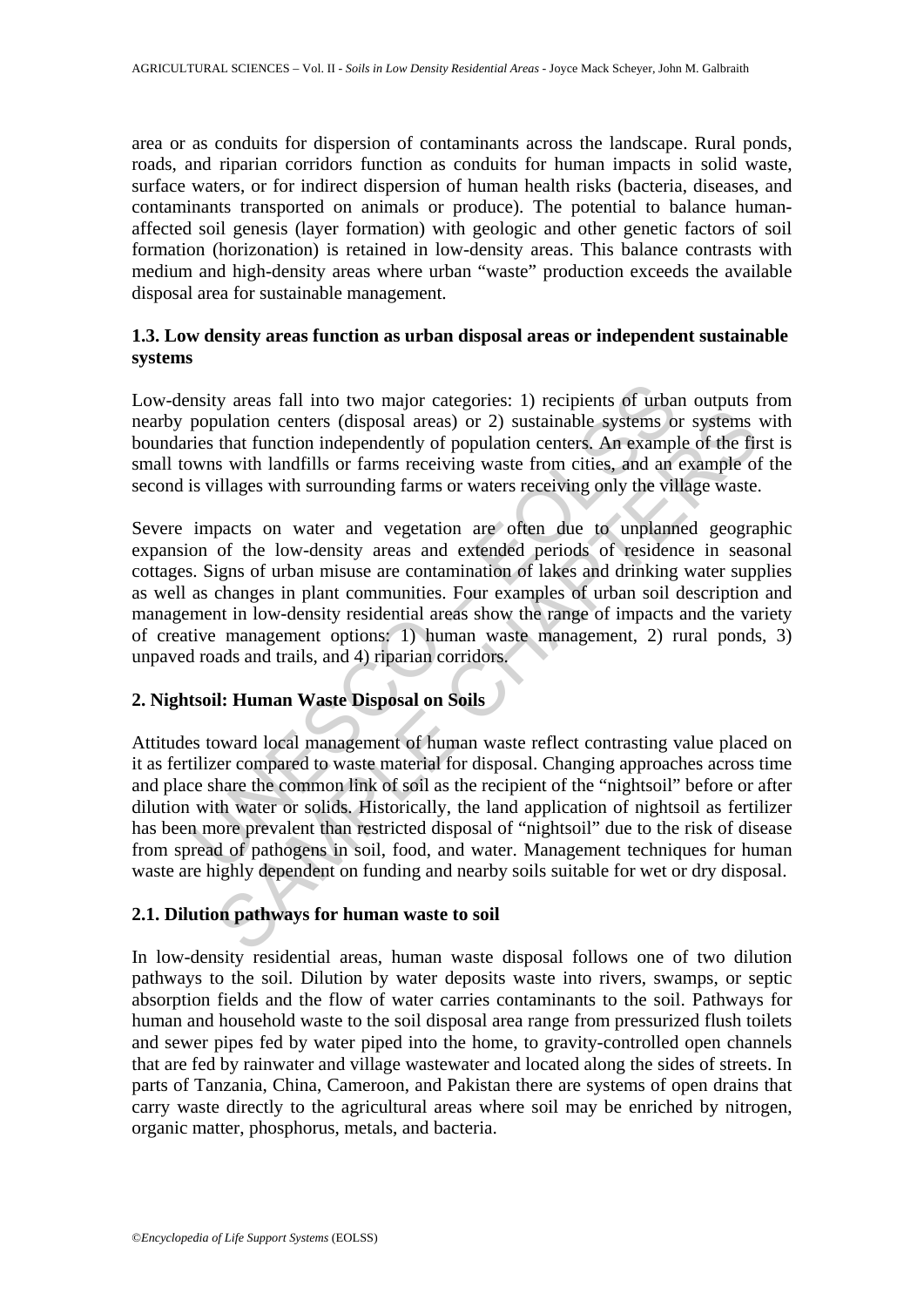area or as conduits for dispersion of contaminants across the landscape. Rural ponds, roads, and riparian corridors function as conduits for human impacts in solid waste, surface waters, or for indirect dispersion of human health risks (bacteria, diseases, and contaminants transported on animals or produce). The potential to balance humanaffected soil genesis (layer formation) with geologic and other genetic factors of soil formation (horizonation) is retained in low-density areas. This balance contrasts with medium and high-density areas where urban "waste" production exceeds the available disposal area for sustainable management.

## **1.3. Low density areas function as urban disposal areas or independent sustainable systems**

Low-density areas fall into two major categories: 1) recipients of urban outputs from nearby population centers (disposal areas) or 2) sustainable systems or systems with boundaries that function independently of population centers. An example of the first is small towns with landfills or farms receiving waste from cities, and an example of the second is villages with surrounding farms or waters receiving only the village waste.

nsity areas fall into two major categories: 1) recipients of urba<br>population centers (disposal areas) or 2) sustainable systems of<br>eis that function independently of population centers. An exampl<br>wms with landfills or farm but a method in a method of population centers (disposal areas) or 2) sustainable systems or systems that function independently of population centers. An example of the find so that function independently of population ce Severe impacts on water and vegetation are often due to unplanned geographic expansion of the low-density areas and extended periods of residence in seasonal cottages. Signs of urban misuse are contamination of lakes and drinking water supplies as well as changes in plant communities. Four examples of urban soil description and management in low-density residential areas show the range of impacts and the variety of creative management options: 1) human waste management, 2) rural ponds, 3) unpaved roads and trails, and 4) riparian corridors.

# **2. Nightsoil: Human Waste Disposal on Soils**

Attitudes toward local management of human waste reflect contrasting value placed on it as fertilizer compared to waste material for disposal. Changing approaches across time and place share the common link of soil as the recipient of the "nightsoil" before or after dilution with water or solids. Historically, the land application of nightsoil as fertilizer has been more prevalent than restricted disposal of "nightsoil" due to the risk of disease from spread of pathogens in soil, food, and water. Management techniques for human waste are highly dependent on funding and nearby soils suitable for wet or dry disposal.

### **2.1. Dilution pathways for human waste to soil**

In low-density residential areas, human waste disposal follows one of two dilution pathways to the soil. Dilution by water deposits waste into rivers, swamps, or septic absorption fields and the flow of water carries contaminants to the soil. Pathways for human and household waste to the soil disposal area range from pressurized flush toilets and sewer pipes fed by water piped into the home, to gravity-controlled open channels that are fed by rainwater and village wastewater and located along the sides of streets. In parts of Tanzania, China, Cameroon, and Pakistan there are systems of open drains that carry waste directly to the agricultural areas where soil may be enriched by nitrogen, organic matter, phosphorus, metals, and bacteria.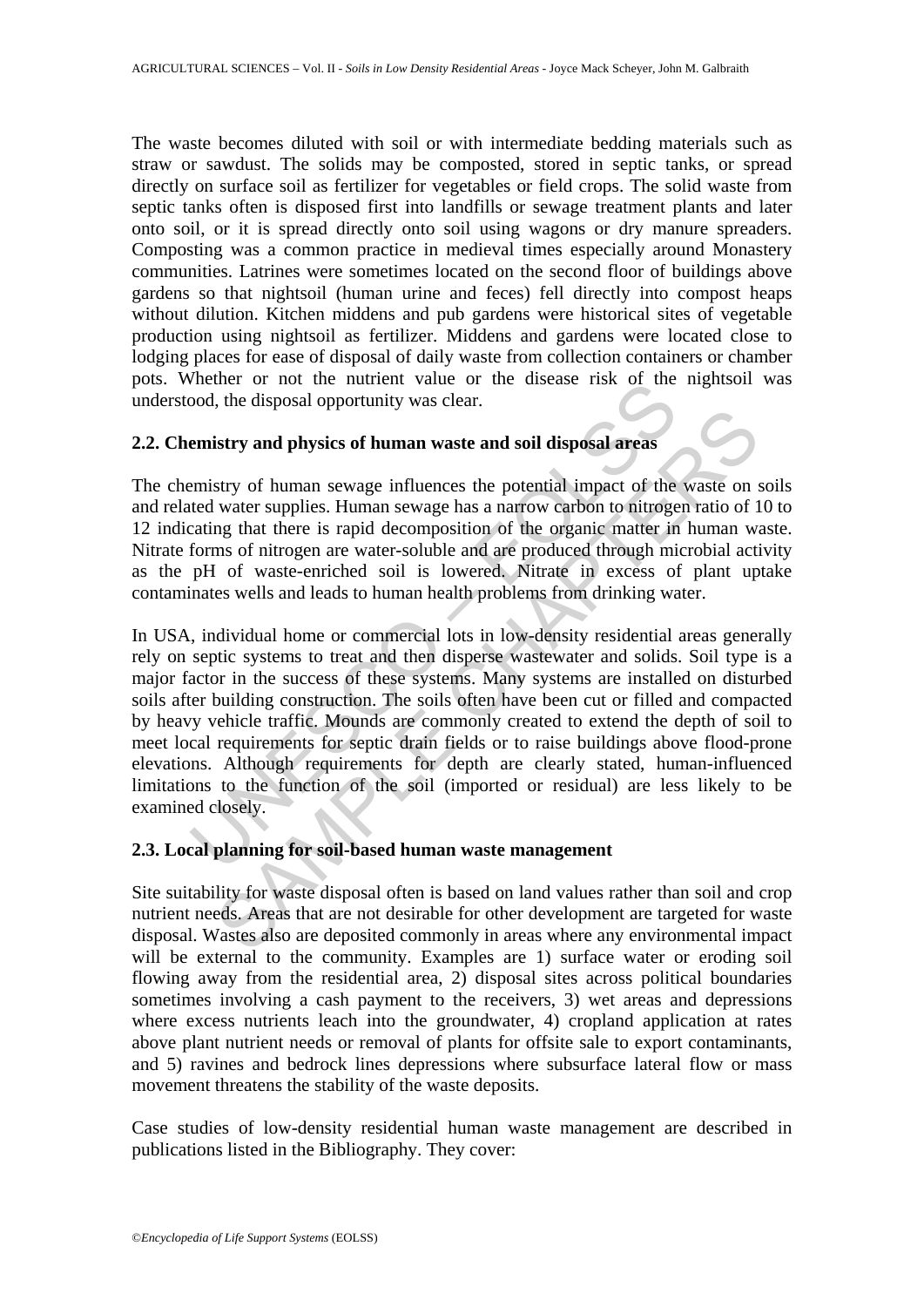The waste becomes diluted with soil or with intermediate bedding materials such as straw or sawdust. The solids may be composted, stored in septic tanks, or spread directly on surface soil as fertilizer for vegetables or field crops. The solid waste from septic tanks often is disposed first into landfills or sewage treatment plants and later onto soil, or it is spread directly onto soil using wagons or dry manure spreaders. Composting was a common practice in medieval times especially around Monastery communities. Latrines were sometimes located on the second floor of buildings above gardens so that nightsoil (human urine and feces) fell directly into compost heaps without dilution. Kitchen middens and pub gardens were historical sites of vegetable production using nightsoil as fertilizer. Middens and gardens were located close to lodging places for ease of disposal of daily waste from collection containers or chamber pots. Whether or not the nutrient value or the disease risk of the nightsoil was understood, the disposal opportunity was clear.

# **2.2. Chemistry and physics of human waste and soil disposal areas**

The chemistry of human sewage influences the potential impact of the waste on soils and related water supplies. Human sewage has a narrow carbon to nitrogen ratio of 10 to 12 indicating that there is rapid decomposition of the organic matter in human waste. Nitrate forms of nitrogen are water-soluble and are produced through microbial activity as the pH of waste-enriched soil is lowered. Nitrate in excess of plant uptake contaminates wells and leads to human health problems from drinking water.

The disposal opportunity was clear.<br>
emistry and physics of human waste and soil disposal areas<br>
emistry of human sewage influences the potential impact of the<br>
tred water supplies. Human sewage has a narrow carbon to nitr Extry and physics of human waste and soil disposal areas<br>stry and physics of human waste and soil disposal areas<br>stry of human sewage influences the potential impact of the waste on swater supplies. Human sewage has a narr In USA, individual home or commercial lots in low-density residential areas generally rely on septic systems to treat and then disperse wastewater and solids. Soil type is a major factor in the success of these systems. Many systems are installed on disturbed soils after building construction. The soils often have been cut or filled and compacted by heavy vehicle traffic. Mounds are commonly created to extend the depth of soil to meet local requirements for septic drain fields or to raise buildings above flood-prone elevations. Although requirements for depth are clearly stated, human-influenced limitations to the function of the soil (imported or residual) are less likely to be examined closely.

## **2.3. Local planning for soil-based human waste management**

Site suitability for waste disposal often is based on land values rather than soil and crop nutrient needs. Areas that are not desirable for other development are targeted for waste disposal. Wastes also are deposited commonly in areas where any environmental impact will be external to the community. Examples are 1) surface water or eroding soil flowing away from the residential area, 2) disposal sites across political boundaries sometimes involving a cash payment to the receivers, 3) wet areas and depressions where excess nutrients leach into the groundwater, 4) cropland application at rates above plant nutrient needs or removal of plants for offsite sale to export contaminants, and 5) ravines and bedrock lines depressions where subsurface lateral flow or mass movement threatens the stability of the waste deposits.

Case studies of low-density residential human waste management are described in publications listed in the Bibliography. They cover: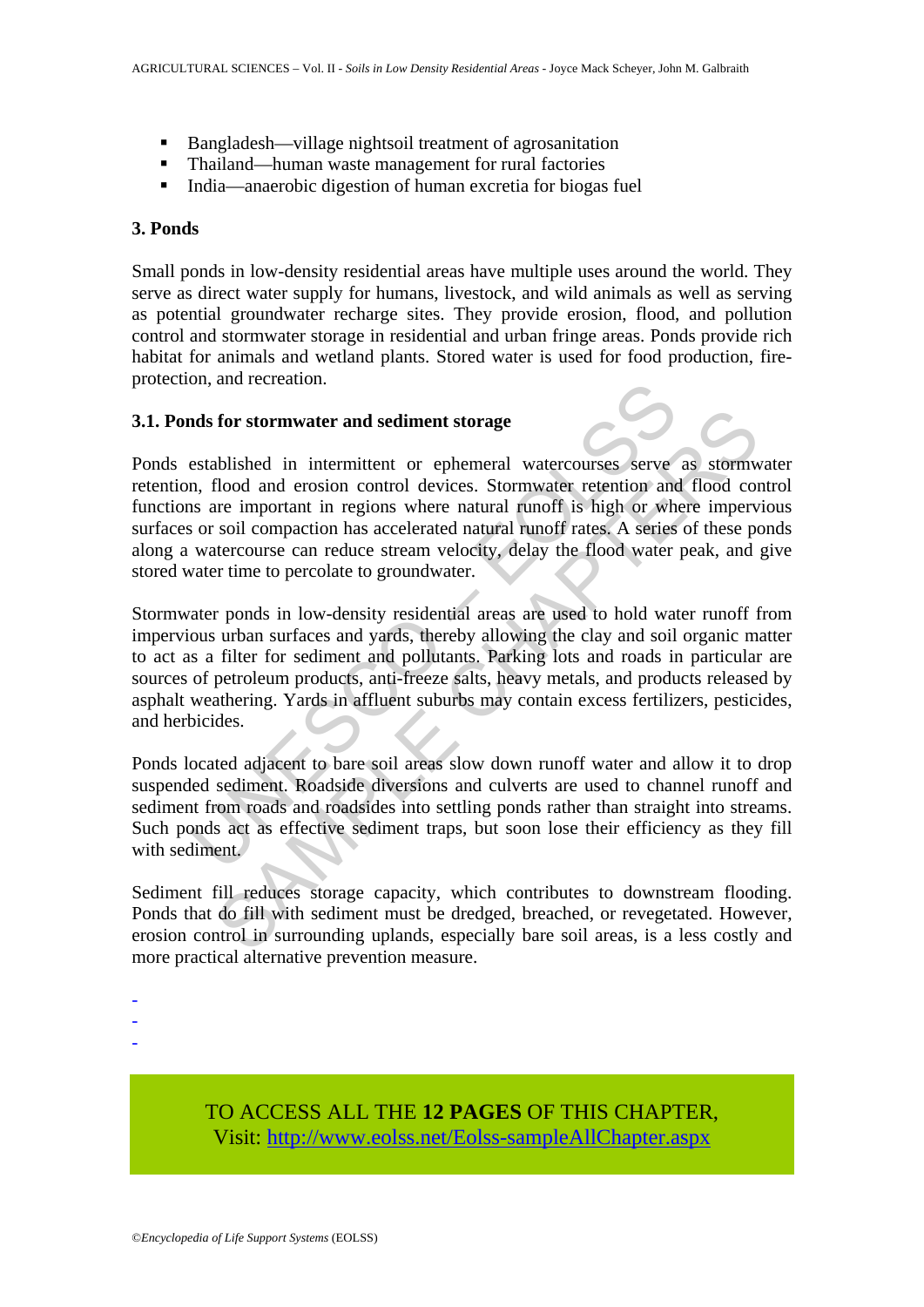- Bangladesh—village nightsoil treatment of agrosanitation
- Thailand—human waste management for rural factories
- India—anaerobic digestion of human excretia for biogas fuel

## **3. Ponds**

Small ponds in low-density residential areas have multiple uses around the world. They serve as direct water supply for humans, livestock, and wild animals as well as serving as potential groundwater recharge sites. They provide erosion, flood, and pollution control and stormwater storage in residential and urban fringe areas. Ponds provide rich habitat for animals and wetland plants. Stored water is used for food production, fireprotection, and recreation.

### **3.1. Ponds for stormwater and sediment storage**

Ponds established in intermittent or ephemeral watercourses serve as stormwater retention, flood and erosion control devices. Stormwater retention and flood control functions are important in regions where natural runoff is high or where impervious surfaces or soil compaction has accelerated natural runoff rates. A series of these ponds along a watercourse can reduce stream velocity, delay the flood water peak, and give stored water time to percolate to groundwater.

on, and recreation.<br>
In the setablished in intermittent or ephemeral watercourses serve<br>
stablished in intermittent or ephemeral watercourses serve<br>
n, flood and erosion control devices. Stormwater retention and<br>
six are i for stormwater and sediment storage<br>ablished in intermittent or ephemeral watercourses serve as storm<br>abod and erosion control devices. Stormwater retention and flood coo<br>incomportant in regions where natural runoff is hig Stormwater ponds in low-density residential areas are used to hold water runoff from impervious urban surfaces and yards, thereby allowing the clay and soil organic matter to act as a filter for sediment and pollutants. Parking lots and roads in particular are sources of petroleum products, anti-freeze salts, heavy metals, and products released by asphalt weathering. Yards in affluent suburbs may contain excess fertilizers, pesticides, and herbicides.

Ponds located adjacent to bare soil areas slow down runoff water and allow it to drop suspended sediment. Roadside diversions and culverts are used to channel runoff and sediment from roads and roadsides into settling ponds rather than straight into streams. Such ponds act as effective sediment traps, but soon lose their efficiency as they fill with sediment.

Sediment fill reduces storage capacity, which contributes to downstream flooding. Ponds that do fill with sediment must be dredged, breached, or revegetated. However, erosion control in surrounding uplands, especially bare soil areas, is a less costly and more practical alternative prevention measure.

- -
- -
- -

TO ACCESS ALL THE **12 PAGES** OF THIS CHAPTER, Visi[t: http://www.eolss.net/Eolss-sampleAllChapter.aspx](https://www.eolss.net/ebooklib/sc_cart.aspx?File=E5-24-11-03)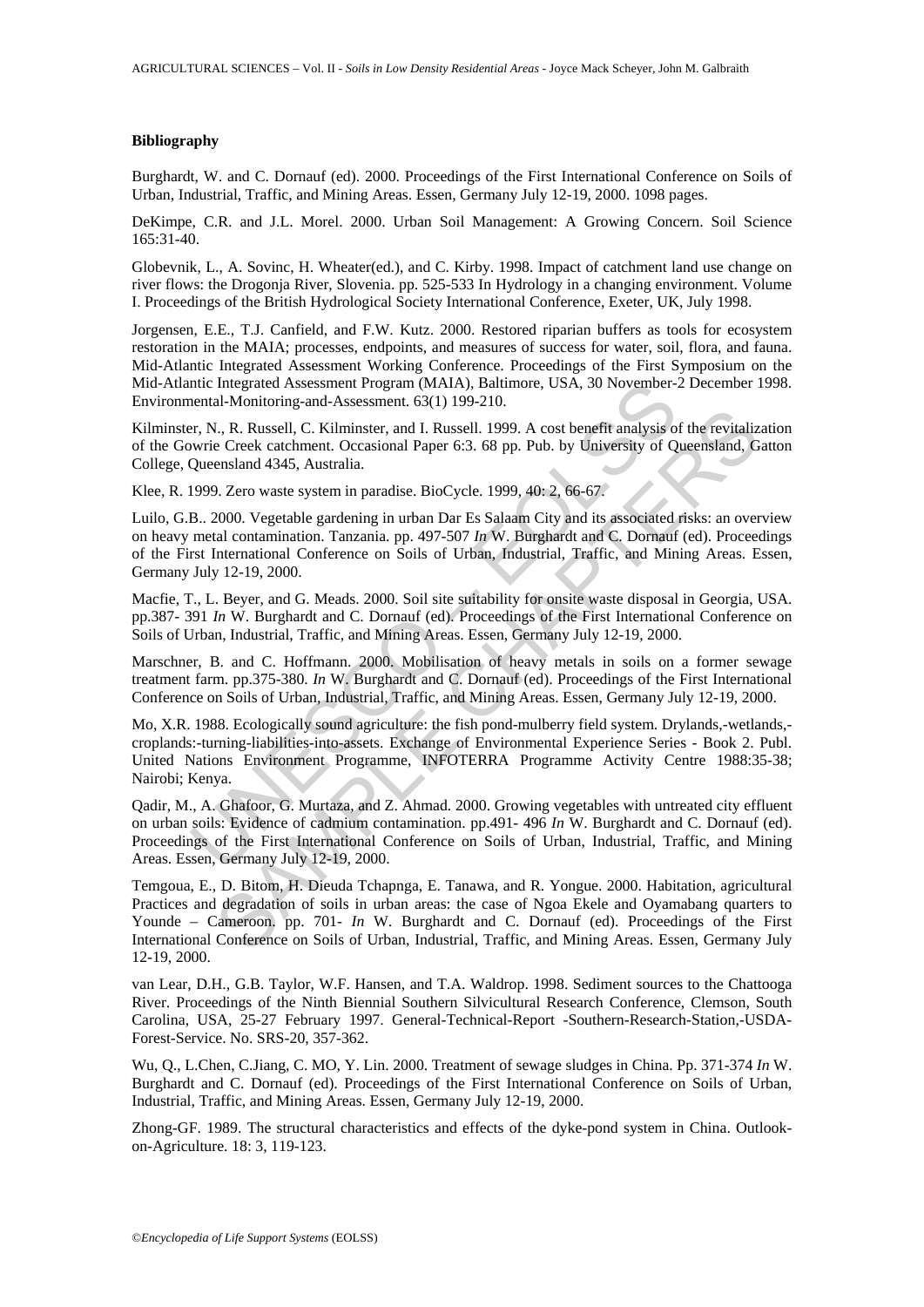#### **Bibliography**

Burghardt, W. and C. Dornauf (ed). 2000. Proceedings of the First International Conference on Soils of Urban, Industrial, Traffic, and Mining Areas. Essen, Germany July 12-19, 2000. 1098 pages.

DeKimpe, C.R. and J.L. Morel. 2000. Urban Soil Management: A Growing Concern. Soil Science 165:31-40.

Globevnik, L., A. Sovinc, H. Wheater(ed.), and C. Kirby. 1998. Impact of catchment land use change on river flows: the Drogonja River, Slovenia. pp. 525-533 In Hydrology in a changing environment. Volume I. Proceedings of the British Hydrological Society International Conference, Exeter, UK, July 1998.

Jorgensen, E.E., T.J. Canfield, and F.W. Kutz. 2000. Restored riparian buffers as tools for ecosystem restoration in the MAIA; processes, endpoints, and measures of success for water, soil, flora, and fauna. Mid-Atlantic Integrated Assessment Working Conference. Proceedings of the First Symposium on the Mid-Atlantic Integrated Assessment Program (MAIA), Baltimore, USA, 30 November-2 December 1998. Environmental-Monitoring-and-Assessment. 63(1) 199-210.

Kilminster, N., R. Russell, C. Kilminster, and I. Russell. 1999. A cost benefit analysis of the revitalization of the Gowrie Creek catchment. Occasional Paper 6:3. 68 pp. Pub. by University of Queensland, Gatton College, Queensland 4345, Australia.

Klee, R. 1999. Zero waste system in paradise. BioCycle. 1999, 40: 2, 66-67.

ntic Integrated Assessment Program (MAIA), Baltimore, USA, 30 November-<br>ental-Monitoring-and-Assessment. 63(1) 199-210.<br>ent, N., R. Russell, C. Kilminster, and I. Russell. 1999. A cost benefit analysis of Q<br>ver, N., R. Rus Luilo, G.B.. 2000. Vegetable gardening in urban Dar Es Salaam City and its associated risks: an overview on heavy metal contamination. Tanzania. pp. 497-507 *In* W. Burghardt and C. Dornauf (ed). Proceedings of the First International Conference on Soils of Urban, Industrial, Traffic, and Mining Areas. Essen, Germany July 12-19, 2000.

Macfie, T., L. Beyer, and G. Meads. 2000. Soil site suitability for onsite waste disposal in Georgia, USA. pp.387- 391 *In* W. Burghardt and C. Dornauf (ed). Proceedings of the First International Conference on Soils of Urban, Industrial, Traffic, and Mining Areas. Essen, Germany July 12-19, 2000.

Marschner, B. and C. Hoffmann. 2000. Mobilisation of heavy metals in soils on a former sewage treatment farm. pp.375-380. *In* W. Burghardt and C. Dornauf (ed). Proceedings of the First International Conference on Soils of Urban, Industrial, Traffic, and Mining Areas. Essen, Germany July 12-19, 2000.

Mo, X.R. 1988. Ecologically sound agriculture: the fish pond-mulberry field system. Drylands,-wetlands, croplands:-turning-liabilities-into-assets. Exchange of Environmental Experience Series - Book 2. Publ. United Nations Environment Programme, INFOTERRA Programme Activity Centre 1988:35-38; Nairobi; Kenya.

Qadir, M., A. Ghafoor, G. Murtaza, and Z. Ahmad. 2000. Growing vegetables with untreated city effluent on urban soils: Evidence of cadmium contamination. pp.491- 496 *In* W. Burghardt and C. Dornauf (ed). Proceedings of the First International Conference on Soils of Urban, Industrial, Traffic, and Mining Areas. Essen, Germany July 12-19, 2000.

(a, R. Russell, C. Kilminster, and I. Russell. 1999. A cost benefit analysis of the revitalize Creck catchment. Occasional Paper 6:3. 68 pp. Pub. by University of Queensland, Gensland 4345, Australia.<br>
Creck catchment. Occ Temgoua, E., D. Bitom, H. Dieuda Tchapnga, E. Tanawa, and R. Yongue. 2000. Habitation, agricultural Practices and degradation of soils in urban areas: the case of Ngoa Ekele and Oyamabang quarters to Younde – Cameroon. pp. 701- *In* W. Burghardt and C. Dornauf (ed). Proceedings of the First International Conference on Soils of Urban, Industrial, Traffic, and Mining Areas. Essen, Germany July 12-19, 2000.

van Lear, D.H., G.B. Taylor, W.F. Hansen, and T.A. Waldrop. 1998. Sediment sources to the Chattooga River. Proceedings of the Ninth Biennial Southern Silvicultural Research Conference, Clemson, South Carolina, USA, 25-27 February 1997. General-Technical-Report -Southern-Research-Station,-USDA-Forest-Service. No. SRS-20, 357-362.

Wu, Q., L.Chen, C.Jiang, C. MO, Y. Lin. 2000. Treatment of sewage sludges in China. Pp. 371-374 *In* W. Burghardt and C. Dornauf (ed). Proceedings of the First International Conference on Soils of Urban, Industrial, Traffic, and Mining Areas. Essen, Germany July 12-19, 2000.

Zhong-GF. 1989. The structural characteristics and effects of the dyke-pond system in China. Outlookon-Agriculture. 18: 3, 119-123.